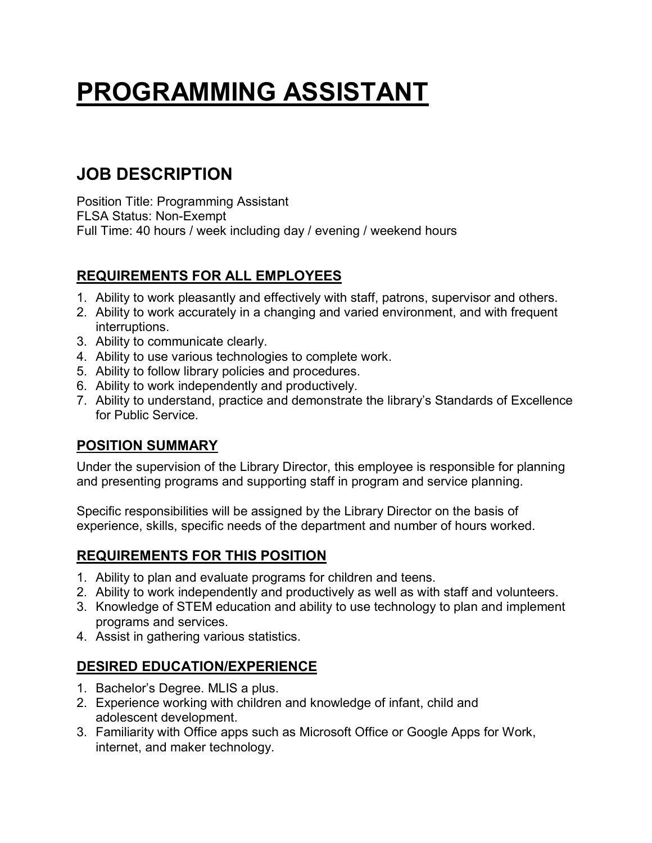# **PROGRAMMING ASSISTANT**

# **JOB DESCRIPTION**

Position Title: Programming Assistant FLSA Status: Non-Exempt Full Time: 40 hours / week including day / evening / weekend hours

# **REQUIREMENTS FOR ALL EMPLOYEES**

- 1. Ability to work pleasantly and effectively with staff, patrons, supervisor and others.
- 2. Ability to work accurately in a changing and varied environment, and with frequent interruptions.
- 3. Ability to communicate clearly.
- 4. Ability to use various technologies to complete work.
- 5. Ability to follow library policies and procedures.
- 6. Ability to work independently and productively.
- 7. Ability to understand, practice and demonstrate the library's Standards of Excellence for Public Service.

#### **POSITION SUMMARY**

Under the supervision of the Library Director, this employee is responsible for planning and presenting programs and supporting staff in program and service planning.

Specific responsibilities will be assigned by the Library Director on the basis of experience, skills, specific needs of the department and number of hours worked.

## **REQUIREMENTS FOR THIS POSITION**

- 1. Ability to plan and evaluate programs for children and teens.
- 2. Ability to work independently and productively as well as with staff and volunteers.
- 3. Knowledge of STEM education and ability to use technology to plan and implement programs and services.
- 4. Assist in gathering various statistics.

## **DESIRED EDUCATION/EXPERIENCE**

- 1. Bachelor's Degree. MLIS a plus.
- 2. Experience working with children and knowledge of infant, child and adolescent development.
- 3. Familiarity with Office apps such as Microsoft Office or Google Apps for Work, internet, and maker technology.